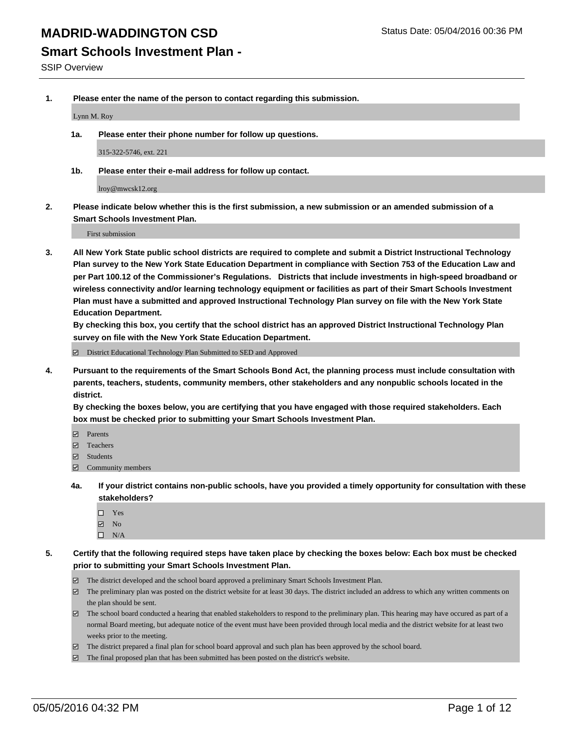#### **Smart Schools Investment Plan -**

SSIP Overview

**1. Please enter the name of the person to contact regarding this submission.**

Lynn M. Roy

**1a. Please enter their phone number for follow up questions.**

315-322-5746, ext. 221

**1b. Please enter their e-mail address for follow up contact.**

lroy@mwcsk12.org

**2. Please indicate below whether this is the first submission, a new submission or an amended submission of a Smart Schools Investment Plan.**

First submission

**3. All New York State public school districts are required to complete and submit a District Instructional Technology Plan survey to the New York State Education Department in compliance with Section 753 of the Education Law and per Part 100.12 of the Commissioner's Regulations. Districts that include investments in high-speed broadband or wireless connectivity and/or learning technology equipment or facilities as part of their Smart Schools Investment Plan must have a submitted and approved Instructional Technology Plan survey on file with the New York State Education Department.** 

**By checking this box, you certify that the school district has an approved District Instructional Technology Plan survey on file with the New York State Education Department.**

■ District Educational Technology Plan Submitted to SED and Approved

**4. Pursuant to the requirements of the Smart Schools Bond Act, the planning process must include consultation with parents, teachers, students, community members, other stakeholders and any nonpublic schools located in the district.** 

**By checking the boxes below, you are certifying that you have engaged with those required stakeholders. Each box must be checked prior to submitting your Smart Schools Investment Plan.**

- **Parents**
- □ Teachers
- Students
- $\boxdot$  Community members
- **4a. If your district contains non-public schools, have you provided a timely opportunity for consultation with these stakeholders?**
	- □ Yes
	- **☑** No
	- $\Box$  N/A
- **5. Certify that the following required steps have taken place by checking the boxes below: Each box must be checked prior to submitting your Smart Schools Investment Plan.**
	- The district developed and the school board approved a preliminary Smart Schools Investment Plan.
	- The preliminary plan was posted on the district website for at least 30 days. The district included an address to which any written comments on the plan should be sent.
	- $\Box$  The school board conducted a hearing that enabled stakeholders to respond to the preliminary plan. This hearing may have occured as part of a normal Board meeting, but adequate notice of the event must have been provided through local media and the district website for at least two weeks prior to the meeting.
	- The district prepared a final plan for school board approval and such plan has been approved by the school board.
	- The final proposed plan that has been submitted has been posted on the district's website.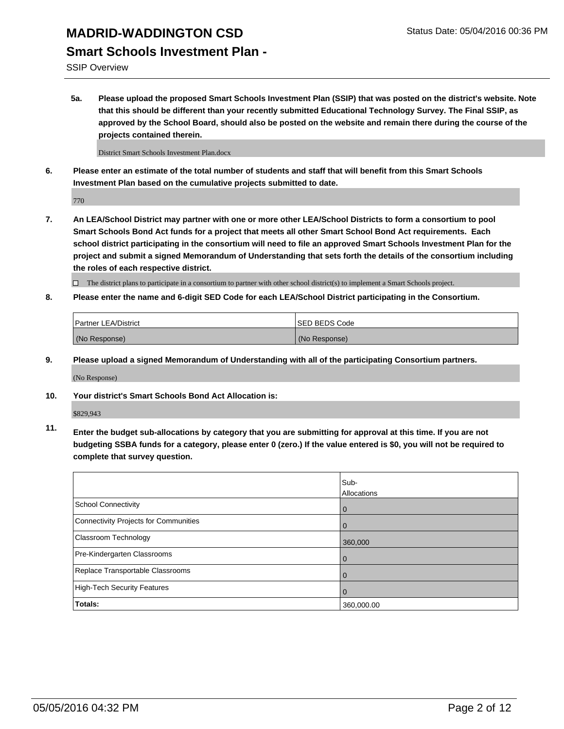#### **Smart Schools Investment Plan -**

SSIP Overview

**5a. Please upload the proposed Smart Schools Investment Plan (SSIP) that was posted on the district's website. Note that this should be different than your recently submitted Educational Technology Survey. The Final SSIP, as approved by the School Board, should also be posted on the website and remain there during the course of the projects contained therein.**

District Smart Schools Investment Plan.docx

**6. Please enter an estimate of the total number of students and staff that will benefit from this Smart Schools Investment Plan based on the cumulative projects submitted to date.**

770

**7. An LEA/School District may partner with one or more other LEA/School Districts to form a consortium to pool Smart Schools Bond Act funds for a project that meets all other Smart School Bond Act requirements. Each school district participating in the consortium will need to file an approved Smart Schools Investment Plan for the project and submit a signed Memorandum of Understanding that sets forth the details of the consortium including the roles of each respective district.**

 $\Box$  The district plans to participate in a consortium to partner with other school district(s) to implement a Smart Schools project.

**8. Please enter the name and 6-digit SED Code for each LEA/School District participating in the Consortium.**

| <b>Partner LEA/District</b> | ISED BEDS Code |
|-----------------------------|----------------|
| (No Response)               | (No Response)  |

**9. Please upload a signed Memorandum of Understanding with all of the participating Consortium partners.**

(No Response)

**10. Your district's Smart Schools Bond Act Allocation is:**

\$829,943

**11. Enter the budget sub-allocations by category that you are submitting for approval at this time. If you are not budgeting SSBA funds for a category, please enter 0 (zero.) If the value entered is \$0, you will not be required to complete that survey question.**

|                                       | Sub-<br>Allocations |
|---------------------------------------|---------------------|
| <b>School Connectivity</b>            | 0                   |
| Connectivity Projects for Communities | 0                   |
| Classroom Technology                  | 360,000             |
| Pre-Kindergarten Classrooms           | $\Omega$            |
| Replace Transportable Classrooms      | $\Omega$            |
| High-Tech Security Features           | 0                   |
| Totals:                               | 360,000.00          |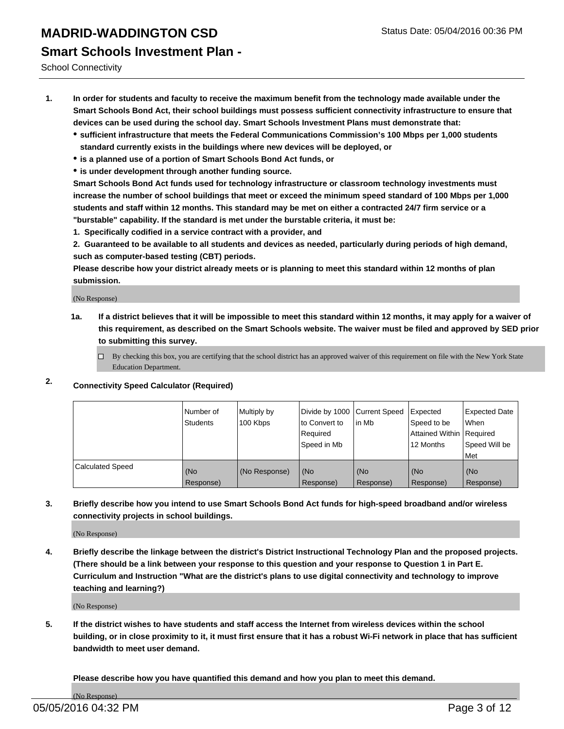# **MADRID-WADDINGTON CSD** Status Date: 05/04/2016 00:36 PM **Smart Schools Investment Plan -**

School Connectivity

- **1. In order for students and faculty to receive the maximum benefit from the technology made available under the Smart Schools Bond Act, their school buildings must possess sufficient connectivity infrastructure to ensure that devices can be used during the school day. Smart Schools Investment Plans must demonstrate that:**
	- **sufficient infrastructure that meets the Federal Communications Commission's 100 Mbps per 1,000 students standard currently exists in the buildings where new devices will be deployed, or**
	- **is a planned use of a portion of Smart Schools Bond Act funds, or**
	- **is under development through another funding source.**

**Smart Schools Bond Act funds used for technology infrastructure or classroom technology investments must increase the number of school buildings that meet or exceed the minimum speed standard of 100 Mbps per 1,000 students and staff within 12 months. This standard may be met on either a contracted 24/7 firm service or a "burstable" capability. If the standard is met under the burstable criteria, it must be:**

**1. Specifically codified in a service contract with a provider, and**

**2. Guaranteed to be available to all students and devices as needed, particularly during periods of high demand, such as computer-based testing (CBT) periods.**

**Please describe how your district already meets or is planning to meet this standard within 12 months of plan submission.**

(No Response)

- **1a. If a district believes that it will be impossible to meet this standard within 12 months, it may apply for a waiver of this requirement, as described on the Smart Schools website. The waiver must be filed and approved by SED prior to submitting this survey.**
	- □ By checking this box, you are certifying that the school district has an approved waiver of this requirement on file with the New York State Education Department.
- **2. Connectivity Speed Calculator (Required)**

|                         | Number of<br>Students | Multiply by<br>100 Kbps | Divide by 1000 Current Speed<br>to Convert to<br>Reauired<br>Speed in Mb | lin Mb             | Expected<br>Speed to be<br>Attained Within   Required<br>12 Months | <b>Expected Date</b><br>l When<br>Speed Will be<br>l Met |
|-------------------------|-----------------------|-------------------------|--------------------------------------------------------------------------|--------------------|--------------------------------------------------------------------|----------------------------------------------------------|
| <b>Calculated Speed</b> | (No<br>Response)      | (No Response)           | (No<br>Response)                                                         | l (No<br>Response) | (No<br>Response)                                                   | l (No<br>Response)                                       |

#### **3. Briefly describe how you intend to use Smart Schools Bond Act funds for high-speed broadband and/or wireless connectivity projects in school buildings.**

(No Response)

**4. Briefly describe the linkage between the district's District Instructional Technology Plan and the proposed projects. (There should be a link between your response to this question and your response to Question 1 in Part E. Curriculum and Instruction "What are the district's plans to use digital connectivity and technology to improve teaching and learning?)**

(No Response)

**5. If the district wishes to have students and staff access the Internet from wireless devices within the school building, or in close proximity to it, it must first ensure that it has a robust Wi-Fi network in place that has sufficient bandwidth to meet user demand.**

**Please describe how you have quantified this demand and how you plan to meet this demand.**

(No Response)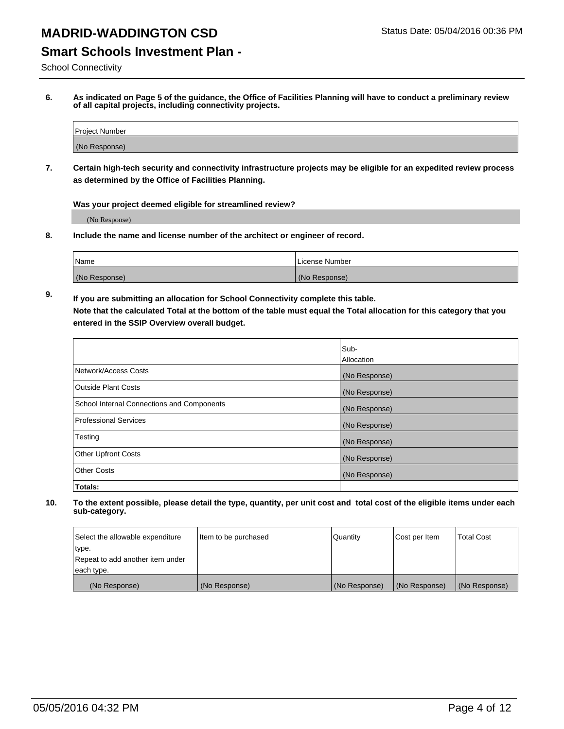### **Smart Schools Investment Plan -**

School Connectivity

**6. As indicated on Page 5 of the guidance, the Office of Facilities Planning will have to conduct a preliminary review of all capital projects, including connectivity projects.**

| Project Number |  |
|----------------|--|
| (No Response)  |  |

**7. Certain high-tech security and connectivity infrastructure projects may be eligible for an expedited review process as determined by the Office of Facilities Planning.**

**Was your project deemed eligible for streamlined review?**

(No Response)

**8. Include the name and license number of the architect or engineer of record.**

| Name          | License Number |
|---------------|----------------|
| (No Response) | (No Response)  |

**9. If you are submitting an allocation for School Connectivity complete this table. Note that the calculated Total at the bottom of the table must equal the Total allocation for this category that you entered in the SSIP Overview overall budget.** 

|                                            | Sub-              |
|--------------------------------------------|-------------------|
|                                            | <b>Allocation</b> |
| Network/Access Costs                       | (No Response)     |
| <b>Outside Plant Costs</b>                 | (No Response)     |
| School Internal Connections and Components | (No Response)     |
| <b>Professional Services</b>               | (No Response)     |
| Testing                                    | (No Response)     |
| <b>Other Upfront Costs</b>                 | (No Response)     |
| <b>Other Costs</b>                         | (No Response)     |
| Totals:                                    |                   |

| Select the allowable expenditure | Item to be purchased | Quantity      | Cost per Item | <b>Total Cost</b> |
|----------------------------------|----------------------|---------------|---------------|-------------------|
| type.                            |                      |               |               |                   |
| Repeat to add another item under |                      |               |               |                   |
| each type.                       |                      |               |               |                   |
| (No Response)                    | (No Response)        | (No Response) | (No Response) | (No Response)     |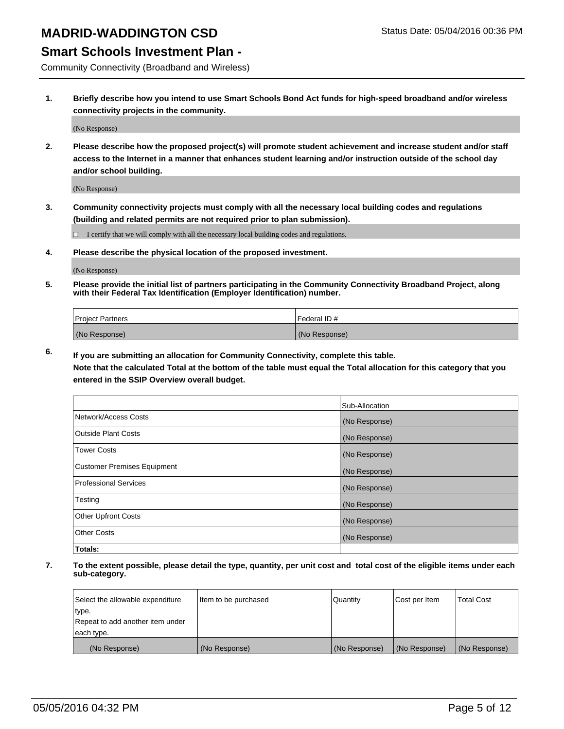#### **Smart Schools Investment Plan -**

Community Connectivity (Broadband and Wireless)

**1. Briefly describe how you intend to use Smart Schools Bond Act funds for high-speed broadband and/or wireless connectivity projects in the community.**

(No Response)

**2. Please describe how the proposed project(s) will promote student achievement and increase student and/or staff access to the Internet in a manner that enhances student learning and/or instruction outside of the school day and/or school building.**

(No Response)

**3. Community connectivity projects must comply with all the necessary local building codes and regulations (building and related permits are not required prior to plan submission).**

 $\Box$  I certify that we will comply with all the necessary local building codes and regulations.

**4. Please describe the physical location of the proposed investment.**

(No Response)

**5. Please provide the initial list of partners participating in the Community Connectivity Broadband Project, along with their Federal Tax Identification (Employer Identification) number.**

| <b>Project Partners</b> | I Federal ID # |
|-------------------------|----------------|
| (No Response)           | (No Response)  |

**6. If you are submitting an allocation for Community Connectivity, complete this table.**

**Note that the calculated Total at the bottom of the table must equal the Total allocation for this category that you entered in the SSIP Overview overall budget.**

|                                    | Sub-Allocation |
|------------------------------------|----------------|
| Network/Access Costs               | (No Response)  |
| <b>Outside Plant Costs</b>         | (No Response)  |
| <b>Tower Costs</b>                 | (No Response)  |
| <b>Customer Premises Equipment</b> | (No Response)  |
| <b>Professional Services</b>       | (No Response)  |
| Testing                            | (No Response)  |
| Other Upfront Costs                | (No Response)  |
| <b>Other Costs</b>                 | (No Response)  |
| Totals:                            |                |

| Select the allowable expenditure | litem to be purchased | Quantity      | Cost per Item | <b>Total Cost</b> |
|----------------------------------|-----------------------|---------------|---------------|-------------------|
| type.                            |                       |               |               |                   |
| Repeat to add another item under |                       |               |               |                   |
| each type.                       |                       |               |               |                   |
| (No Response)                    | (No Response)         | (No Response) | (No Response) | (No Response)     |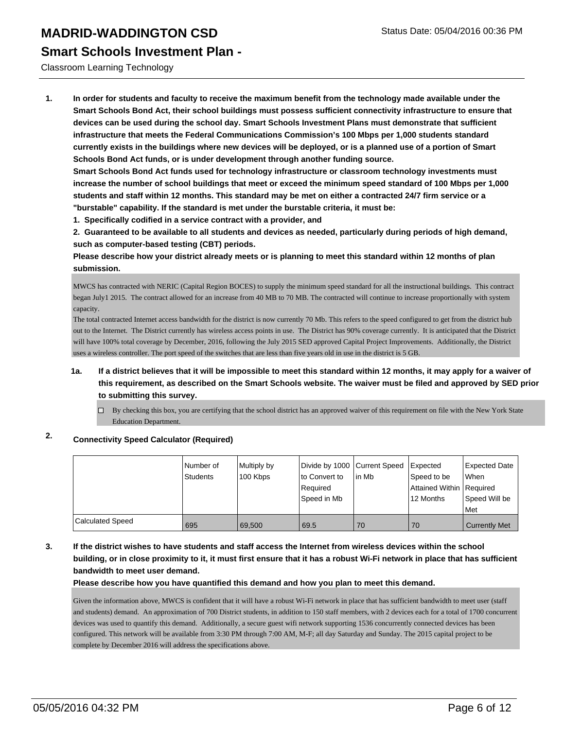**Smart Schools Investment Plan -**

#### Classroom Learning Technology

**1. In order for students and faculty to receive the maximum benefit from the technology made available under the Smart Schools Bond Act, their school buildings must possess sufficient connectivity infrastructure to ensure that devices can be used during the school day. Smart Schools Investment Plans must demonstrate that sufficient infrastructure that meets the Federal Communications Commission's 100 Mbps per 1,000 students standard currently exists in the buildings where new devices will be deployed, or is a planned use of a portion of Smart Schools Bond Act funds, or is under development through another funding source.**

**Smart Schools Bond Act funds used for technology infrastructure or classroom technology investments must increase the number of school buildings that meet or exceed the minimum speed standard of 100 Mbps per 1,000 students and staff within 12 months. This standard may be met on either a contracted 24/7 firm service or a "burstable" capability. If the standard is met under the burstable criteria, it must be:**

**1. Specifically codified in a service contract with a provider, and**

**2. Guaranteed to be available to all students and devices as needed, particularly during periods of high demand, such as computer-based testing (CBT) periods.**

**Please describe how your district already meets or is planning to meet this standard within 12 months of plan submission.**

MWCS has contracted with NERIC (Capital Region BOCES) to supply the minimum speed standard for all the instructional buildings. This contract began July1 2015. The contract allowed for an increase from 40 MB to 70 MB. The contracted will continue to increase proportionally with system capacity.

The total contracted Internet access bandwidth for the district is now currently 70 Mb. This refers to the speed configured to get from the district hub out to the Internet. The District currently has wireless access points in use. The District has 90% coverage currently. It is anticipated that the District will have 100% total coverage by December, 2016, following the July 2015 SED approved Capital Project Improvements. Additionally, the District uses a wireless controller. The port speed of the switches that are less than five years old in use in the district is 5 GB.

- **1a. If a district believes that it will be impossible to meet this standard within 12 months, it may apply for a waiver of this requirement, as described on the Smart Schools website. The waiver must be filed and approved by SED prior to submitting this survey.**
	- $\Box$  By checking this box, you are certifying that the school district has an approved waiver of this requirement on file with the New York State Education Department.

#### **2. Connectivity Speed Calculator (Required)**

|                  | Number of<br>Students | Multiply by<br>100 Kbps | Divide by 1000 Current Speed<br>to Convert to<br>Reauired<br>Speed in Mb | lin Mb | Expected<br>Speed to be<br>Attained Within   Required<br>12 Months | <b>Expected Date</b><br>lWhen<br>Speed Will be<br><b>Met</b> |
|------------------|-----------------------|-------------------------|--------------------------------------------------------------------------|--------|--------------------------------------------------------------------|--------------------------------------------------------------|
| Calculated Speed | 695                   | 69.500                  | 69.5                                                                     | 70     | 70                                                                 | <b>Currently Met</b>                                         |

**3. If the district wishes to have students and staff access the Internet from wireless devices within the school building, or in close proximity to it, it must first ensure that it has a robust Wi-Fi network in place that has sufficient bandwidth to meet user demand.**

**Please describe how you have quantified this demand and how you plan to meet this demand.**

Given the information above, MWCS is confident that it will have a robust Wi-Fi network in place that has sufficient bandwidth to meet user (staff and students) demand. An approximation of 700 District students, in addition to 150 staff members, with 2 devices each for a total of 1700 concurrent devices was used to quantify this demand. Additionally, a secure guest wifi network supporting 1536 concurrently connected devices has been configured. This network will be available from 3:30 PM through 7:00 AM, M-F; all day Saturday and Sunday. The 2015 capital project to be complete by December 2016 will address the specifications above.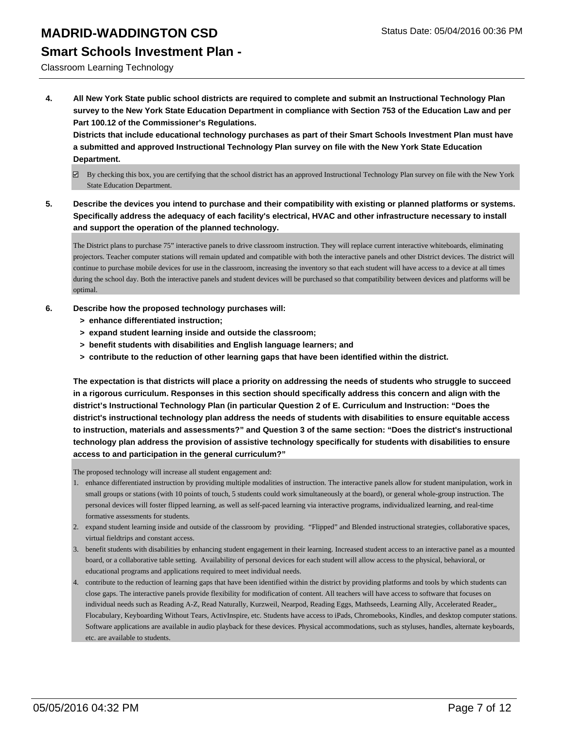#### **Smart Schools Investment Plan -**

Classroom Learning Technology

**4. All New York State public school districts are required to complete and submit an Instructional Technology Plan survey to the New York State Education Department in compliance with Section 753 of the Education Law and per Part 100.12 of the Commissioner's Regulations.**

**Districts that include educational technology purchases as part of their Smart Schools Investment Plan must have a submitted and approved Instructional Technology Plan survey on file with the New York State Education Department.**

- $\boxdot$  By checking this box, you are certifying that the school district has an approved Instructional Technology Plan survey on file with the New York State Education Department.
- **5. Describe the devices you intend to purchase and their compatibility with existing or planned platforms or systems. Specifically address the adequacy of each facility's electrical, HVAC and other infrastructure necessary to install and support the operation of the planned technology.**

The District plans to purchase 75" interactive panels to drive classroom instruction. They will replace current interactive whiteboards, eliminating projectors. Teacher computer stations will remain updated and compatible with both the interactive panels and other District devices. The district will continue to purchase mobile devices for use in the classroom, increasing the inventory so that each student will have access to a device at all times during the school day. Both the interactive panels and student devices will be purchased so that compatibility between devices and platforms will be optimal.

- **6. Describe how the proposed technology purchases will:**
	- **> enhance differentiated instruction;**
	- **> expand student learning inside and outside the classroom;**
	- **> benefit students with disabilities and English language learners; and**
	- **> contribute to the reduction of other learning gaps that have been identified within the district.**

**The expectation is that districts will place a priority on addressing the needs of students who struggle to succeed in a rigorous curriculum. Responses in this section should specifically address this concern and align with the district's Instructional Technology Plan (in particular Question 2 of E. Curriculum and Instruction: "Does the district's instructional technology plan address the needs of students with disabilities to ensure equitable access to instruction, materials and assessments?" and Question 3 of the same section: "Does the district's instructional technology plan address the provision of assistive technology specifically for students with disabilities to ensure access to and participation in the general curriculum?"**

The proposed technology will increase all student engagement and:

- enhance differentiated instruction by providing multiple modalities of instruction. The interactive panels allow for student manipulation, work in 1. small groups or stations (with 10 points of touch, 5 students could work simultaneously at the board), or general whole-group instruction. The personal devices will foster flipped learning, as well as self-paced learning via interactive programs, individualized learning, and real-time formative assessments for students.
- 2. expand student learning inside and outside of the classroom by providing. "Flipped" and Blended instructional strategies, collaborative spaces, virtual fieldtrips and constant access.
- benefit students with disabilities by enhancing student engagement in their learning. Increased student access to an interactive panel as a mounted 3. board, or a collaborative table setting. Availability of personal devices for each student will allow access to the physical, behavioral, or educational programs and applications required to meet individual needs.
- contribute to the reduction of learning gaps that have been identified within the district by providing platforms and tools by which students can 4. close gaps. The interactive panels provide flexibility for modification of content. All teachers will have access to software that focuses on individual needs such as Reading A-Z, Read Naturally, Kurzweil, Nearpod, Reading Eggs, Mathseeds, Learning Ally, Accelerated Reader,, Flocabulary, Keyboarding Without Tears, ActivInspire, etc. Students have access to iPads, Chromebooks, Kindles, and desktop computer stations. Software applications are available in audio playback for these devices. Physical accommodations, such as styluses, handles, alternate keyboards, etc. are available to students.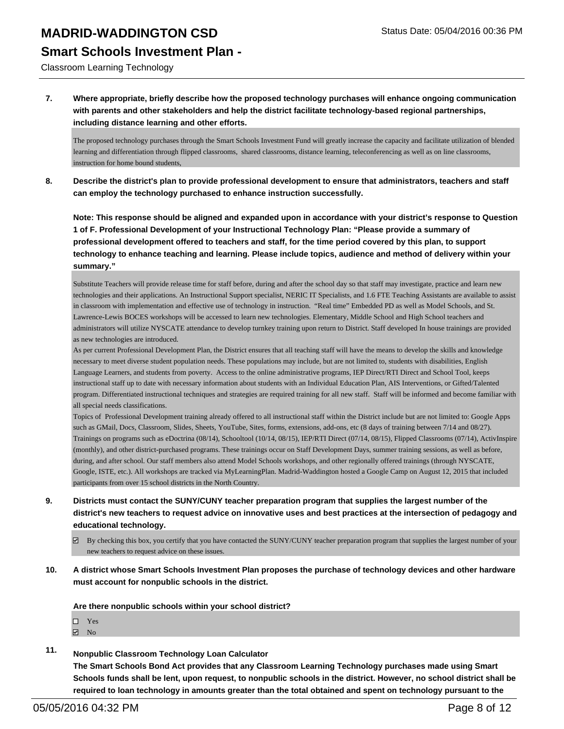#### **Smart Schools Investment Plan -**

Classroom Learning Technology

**7. Where appropriate, briefly describe how the proposed technology purchases will enhance ongoing communication with parents and other stakeholders and help the district facilitate technology-based regional partnerships, including distance learning and other efforts.**

The proposed technology purchases through the Smart Schools Investment Fund will greatly increase the capacity and facilitate utilization of blended learning and differentiation through flipped classrooms, shared classrooms, distance learning, teleconferencing as well as on line classrooms, instruction for home bound students,

**8. Describe the district's plan to provide professional development to ensure that administrators, teachers and staff can employ the technology purchased to enhance instruction successfully.**

**Note: This response should be aligned and expanded upon in accordance with your district's response to Question 1 of F. Professional Development of your Instructional Technology Plan: "Please provide a summary of professional development offered to teachers and staff, for the time period covered by this plan, to support technology to enhance teaching and learning. Please include topics, audience and method of delivery within your summary."**

Substitute Teachers will provide release time for staff before, during and after the school day so that staff may investigate, practice and learn new technologies and their applications. An Instructional Support specialist, NERIC IT Specialists, and 1.6 FTE Teaching Assistants are available to assist in classroom with implementation and effective use of technology in instruction. "Real time" Embedded PD as well as Model Schools, and St. Lawrence-Lewis BOCES workshops will be accessed to learn new technologies. Elementary, Middle School and High School teachers and administrators will utilize NYSCATE attendance to develop turnkey training upon return to District. Staff developed In house trainings are provided as new technologies are introduced.

As per current Professional Development Plan, the District ensures that all teaching staff will have the means to develop the skills and knowledge necessary to meet diverse student population needs. These populations may include, but are not limited to, students with disabilities, English Language Learners, and students from poverty. Access to the online administrative programs, IEP Direct/RTI Direct and School Tool, keeps instructional staff up to date with necessary information about students with an Individual Education Plan, AIS Interventions, or Gifted/Talented program. Differentiated instructional techniques and strategies are required training for all new staff. Staff will be informed and become familiar with all special needs classifications.

Topics of Professional Development training already offered to all instructional staff within the District include but are not limited to: Google Apps such as GMail, Docs, Classroom, Slides, Sheets, YouTube, Sites, forms, extensions, add-ons, etc (8 days of training between 7/14 and 08/27). Trainings on programs such as eDoctrina (08/14), Schooltool (10/14, 08/15), IEP/RTI Direct (07/14, 08/15), Flipped Classrooms (07/14), ActivInspire (monthly), and other district-purchased programs. These trainings occur on Staff Development Days, summer training sessions, as well as before, during, and after school. Our staff members also attend Model Schools workshops, and other regionally offered trainings (through NYSCATE, Google, ISTE, etc.). All workshops are tracked via MyLearningPlan. Madrid-Waddington hosted a Google Camp on August 12, 2015 that included participants from over 15 school districts in the North Country.

- **9. Districts must contact the SUNY/CUNY teacher preparation program that supplies the largest number of the district's new teachers to request advice on innovative uses and best practices at the intersection of pedagogy and educational technology.**
	- $\boxtimes$  By checking this box, you certify that you have contacted the SUNY/CUNY teacher preparation program that supplies the largest number of your new teachers to request advice on these issues.
- **10. A district whose Smart Schools Investment Plan proposes the purchase of technology devices and other hardware must account for nonpublic schools in the district.**

**Are there nonpublic schools within your school district?**

- Yes
- $\boxdot$  No
- **11. Nonpublic Classroom Technology Loan Calculator**

**The Smart Schools Bond Act provides that any Classroom Learning Technology purchases made using Smart Schools funds shall be lent, upon request, to nonpublic schools in the district. However, no school district shall be required to loan technology in amounts greater than the total obtained and spent on technology pursuant to the**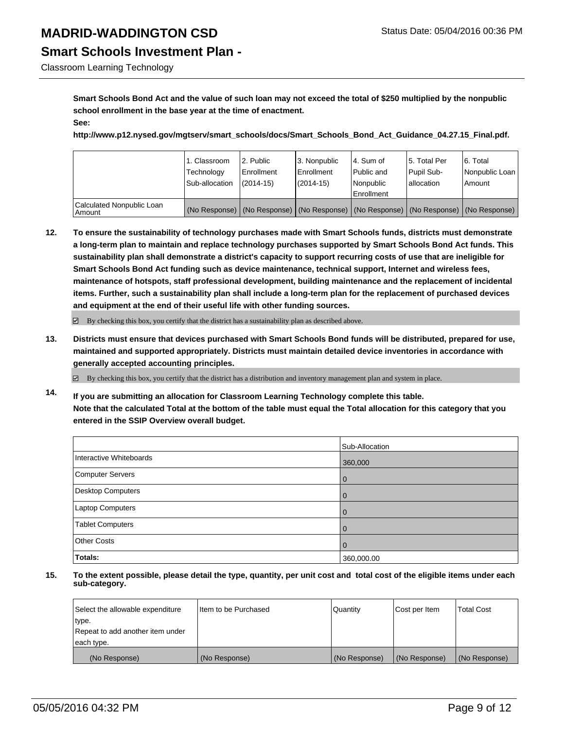# **Smart Schools Investment Plan -**

Classroom Learning Technology

**Smart Schools Bond Act and the value of such loan may not exceed the total of \$250 multiplied by the nonpublic school enrollment in the base year at the time of enactment. See:**

**http://www.p12.nysed.gov/mgtserv/smart\_schools/docs/Smart\_Schools\_Bond\_Act\_Guidance\_04.27.15\_Final.pdf.**

|                                       | 1. Classroom<br>Technology<br>Sub-allocation | 12. Public<br>l Enrollment<br>$(2014-15)$ | 3. Nonpublic<br><b>Enrollment</b><br>$(2014 - 15)$ | 4. Sum of<br>Public and<br>Nonpublic<br>Enrollment                                            | 15. Total Per<br>Pupil Sub-<br>lallocation | 6. Total<br>Nonpublic Loan<br>Amount |
|---------------------------------------|----------------------------------------------|-------------------------------------------|----------------------------------------------------|-----------------------------------------------------------------------------------------------|--------------------------------------------|--------------------------------------|
| Calculated Nonpublic Loan<br>l Amount |                                              |                                           |                                                    | (No Response)   (No Response)   (No Response)   (No Response)   (No Response)   (No Response) |                                            |                                      |

**12. To ensure the sustainability of technology purchases made with Smart Schools funds, districts must demonstrate a long-term plan to maintain and replace technology purchases supported by Smart Schools Bond Act funds. This sustainability plan shall demonstrate a district's capacity to support recurring costs of use that are ineligible for Smart Schools Bond Act funding such as device maintenance, technical support, Internet and wireless fees, maintenance of hotspots, staff professional development, building maintenance and the replacement of incidental items. Further, such a sustainability plan shall include a long-term plan for the replacement of purchased devices and equipment at the end of their useful life with other funding sources.**

 $\boxtimes$  By checking this box, you certify that the district has a sustainability plan as described above.

**13. Districts must ensure that devices purchased with Smart Schools Bond funds will be distributed, prepared for use, maintained and supported appropriately. Districts must maintain detailed device inventories in accordance with generally accepted accounting principles.**

By checking this box, you certify that the district has a distribution and inventory management plan and system in place.

**14. If you are submitting an allocation for Classroom Learning Technology complete this table. Note that the calculated Total at the bottom of the table must equal the Total allocation for this category that you entered in the SSIP Overview overall budget.**

|                          | Sub-Allocation |
|--------------------------|----------------|
| Interactive Whiteboards  | 360,000        |
| Computer Servers         | $\overline{0}$ |
| <b>Desktop Computers</b> | 0              |
| Laptop Computers         | 0              |
| Tablet Computers         | 0              |
| <b>Other Costs</b>       | $\Omega$       |
| Totals:                  | 360,000.00     |

| Select the allowable expenditure | Iltem to be Purchased | Quantity      | Cost per Item | <b>Total Cost</b> |
|----------------------------------|-----------------------|---------------|---------------|-------------------|
| type.                            |                       |               |               |                   |
| Repeat to add another item under |                       |               |               |                   |
| each type.                       |                       |               |               |                   |
| (No Response)                    | (No Response)         | (No Response) | (No Response) | (No Response)     |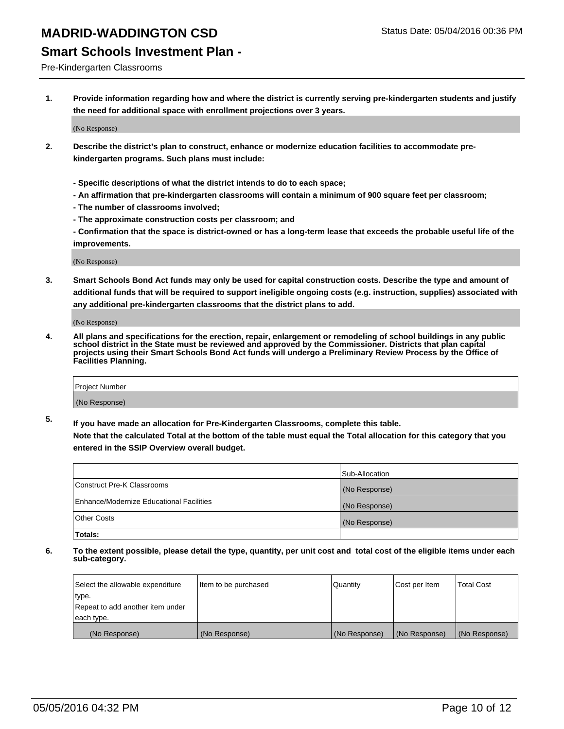#### **Smart Schools Investment Plan -**

Pre-Kindergarten Classrooms

**1. Provide information regarding how and where the district is currently serving pre-kindergarten students and justify the need for additional space with enrollment projections over 3 years.**

(No Response)

- **2. Describe the district's plan to construct, enhance or modernize education facilities to accommodate prekindergarten programs. Such plans must include:**
	- **Specific descriptions of what the district intends to do to each space;**
	- **An affirmation that pre-kindergarten classrooms will contain a minimum of 900 square feet per classroom;**
	- **The number of classrooms involved;**
	- **The approximate construction costs per classroom; and**
	- **Confirmation that the space is district-owned or has a long-term lease that exceeds the probable useful life of the improvements.**

(No Response)

**3. Smart Schools Bond Act funds may only be used for capital construction costs. Describe the type and amount of additional funds that will be required to support ineligible ongoing costs (e.g. instruction, supplies) associated with any additional pre-kindergarten classrooms that the district plans to add.**

(No Response)

**4. All plans and specifications for the erection, repair, enlargement or remodeling of school buildings in any public school district in the State must be reviewed and approved by the Commissioner. Districts that plan capital projects using their Smart Schools Bond Act funds will undergo a Preliminary Review Process by the Office of Facilities Planning.**

| Project Number |  |
|----------------|--|
| (No Response)  |  |

**5. If you have made an allocation for Pre-Kindergarten Classrooms, complete this table. Note that the calculated Total at the bottom of the table must equal the Total allocation for this category that you**

**entered in the SSIP Overview overall budget.**

|                                          | Sub-Allocation |
|------------------------------------------|----------------|
| Construct Pre-K Classrooms               | (No Response)  |
| Enhance/Modernize Educational Facilities | (No Response)  |
| Other Costs                              | (No Response)  |
| Totals:                                  |                |

| Select the allowable expenditure | Item to be purchased | Quantity      | Cost per Item | <b>Total Cost</b> |
|----------------------------------|----------------------|---------------|---------------|-------------------|
| type.                            |                      |               |               |                   |
| Repeat to add another item under |                      |               |               |                   |
| each type.                       |                      |               |               |                   |
| (No Response)                    | (No Response)        | (No Response) | (No Response) | (No Response)     |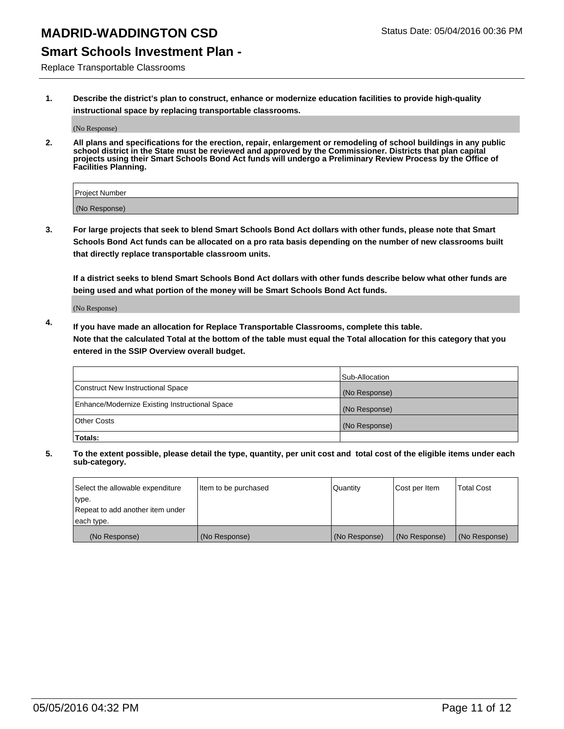#### **Smart Schools Investment Plan -**

Replace Transportable Classrooms

**1. Describe the district's plan to construct, enhance or modernize education facilities to provide high-quality instructional space by replacing transportable classrooms.**

(No Response)

**2. All plans and specifications for the erection, repair, enlargement or remodeling of school buildings in any public school district in the State must be reviewed and approved by the Commissioner. Districts that plan capital projects using their Smart Schools Bond Act funds will undergo a Preliminary Review Process by the Office of Facilities Planning.**

| Project Number |  |
|----------------|--|
| (No Response)  |  |

**3. For large projects that seek to blend Smart Schools Bond Act dollars with other funds, please note that Smart Schools Bond Act funds can be allocated on a pro rata basis depending on the number of new classrooms built that directly replace transportable classroom units.**

**If a district seeks to blend Smart Schools Bond Act dollars with other funds describe below what other funds are being used and what portion of the money will be Smart Schools Bond Act funds.**

(No Response)

**4. If you have made an allocation for Replace Transportable Classrooms, complete this table. Note that the calculated Total at the bottom of the table must equal the Total allocation for this category that you entered in the SSIP Overview overall budget.**

|                                                | Sub-Allocation |
|------------------------------------------------|----------------|
| Construct New Instructional Space              | (No Response)  |
| Enhance/Modernize Existing Instructional Space | (No Response)  |
| <b>Other Costs</b>                             | (No Response)  |
| Totals:                                        |                |

| Select the allowable expenditure | Item to be purchased | Quantity      | Cost per Item | <b>Total Cost</b> |
|----------------------------------|----------------------|---------------|---------------|-------------------|
| type.                            |                      |               |               |                   |
| Repeat to add another item under |                      |               |               |                   |
| each type.                       |                      |               |               |                   |
| (No Response)                    | (No Response)        | (No Response) | (No Response) | (No Response)     |